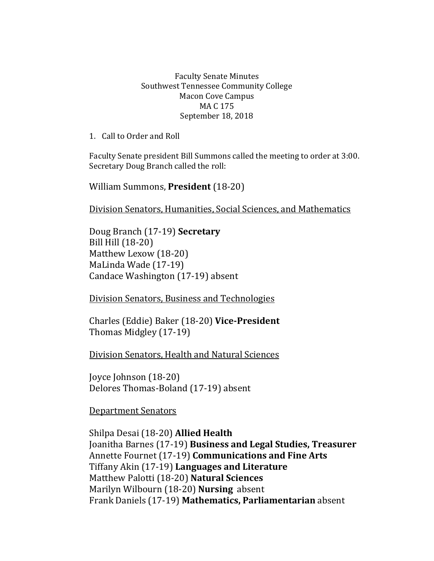#### Faculty Senate Minutes Southwest Tennessee Community College Macon Cove Campus MA C 175 September 18, 2018

1. Call to Order and Roll

Faculty Senate president Bill Summons called the meeting to order at 3:00. Secretary Doug Branch called the roll:

William Summons, **President** (18-20)

Division Senators, Humanities, Social Sciences, and Mathematics

Doug Branch (17-19) **Secretary** Bill Hill (18-20) Matthew Lexow (18-20) MaLinda Wade (17-19) Candace Washington (17-19) absent

Division Senators, Business and Technologies

Charles (Eddie) Baker (18-20) **Vice-President** Thomas Midgley (17-19)

Division Senators, Health and Natural Sciences

Joyce Johnson (18-20) Delores Thomas-Boland (17-19) absent

Department Senators

Shilpa Desai (18-20) **Allied Health** Joanitha Barnes (17-19) **Business and Legal Studies, Treasurer** Annette Fournet (17-19) **Communications and Fine Arts** Tiffany Akin (17-19) **Languages and Literature** Matthew Palotti (18-20) **Natural Sciences** Marilyn Wilbourn (18-20) **Nursing** absent Frank Daniels (17-19) **Mathematics, Parliamentarian** absent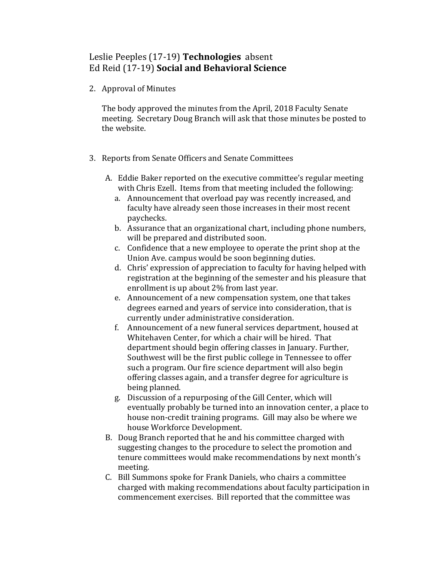### Leslie Peeples (17-19) **Technologies** absent Ed Reid (17-19) **Social and Behavioral Science**

2. Approval of Minutes

The body approved the minutes from the April, 2018 Faculty Senate meeting. Secretary Doug Branch will ask that those minutes be posted to the website.

- 3. Reports from Senate Officers and Senate Committees
	- A. Eddie Baker reported on the executive committee's regular meeting with Chris Ezell. Items from that meeting included the following:
		- a. Announcement that overload pay was recently increased, and faculty have already seen those increases in their most recent paychecks.
		- b. Assurance that an organizational chart, including phone numbers, will be prepared and distributed soon.
		- c. Confidence that a new employee to operate the print shop at the Union Ave. campus would be soon beginning duties.
		- d. Chris' expression of appreciation to faculty for having helped with registration at the beginning of the semester and his pleasure that enrollment is up about 2% from last year.
		- e. Announcement of a new compensation system, one that takes degrees earned and years of service into consideration, that is currently under administrative consideration.
		- f. Announcement of a new funeral services department, housed at Whitehaven Center, for which a chair will be hired. That department should begin offering classes in January. Further, Southwest will be the first public college in Tennessee to offer such a program. Our fire science department will also begin offering classes again, and a transfer degree for agriculture is being planned.
		- g. Discussion of a repurposing of the Gill Center, which will eventually probably be turned into an innovation center, a place to house non-credit training programs. Gill may also be where we house Workforce Development.
	- B. Doug Branch reported that he and his committee charged with suggesting changes to the procedure to select the promotion and tenure committees would make recommendations by next month's meeting.
	- C. Bill Summons spoke for Frank Daniels, who chairs a committee charged with making recommendations about faculty participation in commencement exercises. Bill reported that the committee was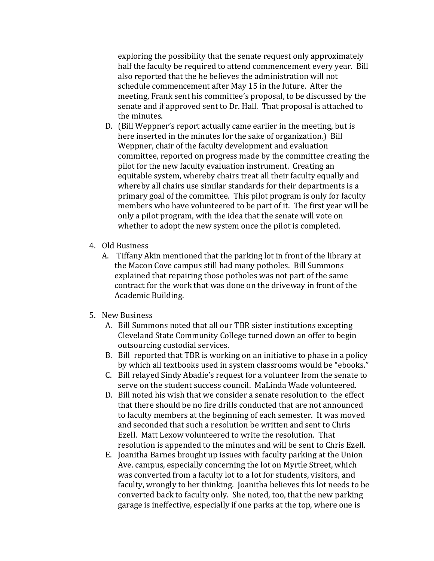exploring the possibility that the senate request only approximately half the faculty be required to attend commencement every year. Bill also reported that the he believes the administration will not schedule commencement after May 15 in the future. After the meeting, Frank sent his committee's proposal, to be discussed by the senate and if approved sent to Dr. Hall. That proposal is attached to the minutes.

- D. (Bill Weppner's report actually came earlier in the meeting, but is here inserted in the minutes for the sake of organization.) Bill Weppner, chair of the faculty development and evaluation committee, reported on progress made by the committee creating the pilot for the new faculty evaluation instrument. Creating an equitable system, whereby chairs treat all their faculty equally and whereby all chairs use similar standards for their departments is a primary goal of the committee. This pilot program is only for faculty members who have volunteered to be part of it. The first year will be only a pilot program, with the idea that the senate will vote on whether to adopt the new system once the pilot is completed.
- 4. Old Business
	- A. Tiffany Akin mentioned that the parking lot in front of the library at the Macon Cove campus still had many potholes. Bill Summons explained that repairing those potholes was not part of the same contract for the work that was done on the driveway in front of the Academic Building.
- 5. New Business
	- A. Bill Summons noted that all our TBR sister institutions excepting Cleveland State Community College turned down an offer to begin outsourcing custodial services.
	- B. Bill reported that TBR is working on an initiative to phase in a policy by which all textbooks used in system classrooms would be "ebooks."
	- C. Bill relayed Sindy Abadie's request for a volunteer from the senate to serve on the student success council. MaLinda Wade volunteered.
	- D. Bill noted his wish that we consider a senate resolution to the effect that there should be no fire drills conducted that are not announced to faculty members at the beginning of each semester. It was moved and seconded that such a resolution be written and sent to Chris Ezell. Matt Lexow volunteered to write the resolution. That resolution is appended to the minutes and will be sent to Chris Ezell.
	- E. Joanitha Barnes brought up issues with faculty parking at the Union Ave. campus, especially concerning the lot on Myrtle Street, which was converted from a faculty lot to a lot for students, visitors, and faculty, wrongly to her thinking. Joanitha believes this lot needs to be converted back to faculty only. She noted, too, that the new parking garage is ineffective, especially if one parks at the top, where one is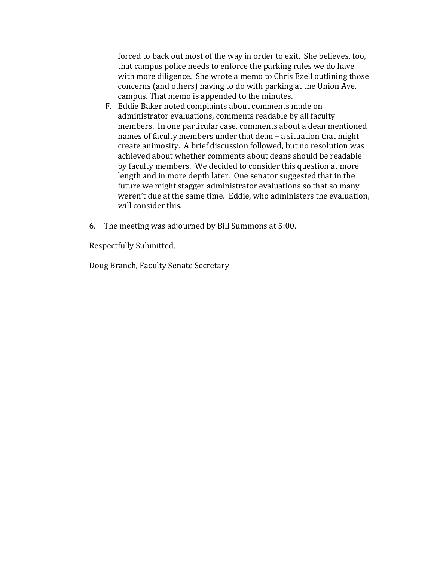forced to back out most of the way in order to exit. She believes, too, that campus police needs to enforce the parking rules we do have with more diligence. She wrote a memo to Chris Ezell outlining those concerns (and others) having to do with parking at the Union Ave. campus. That memo is appended to the minutes.

- F. Eddie Baker noted complaints about comments made on administrator evaluations, comments readable by all faculty members. In one particular case, comments about a dean mentioned names of faculty members under that dean – a situation that might create animosity. A brief discussion followed, but no resolution was achieved about whether comments about deans should be readable by faculty members. We decided to consider this question at more length and in more depth later. One senator suggested that in the future we might stagger administrator evaluations so that so many weren't due at the same time. Eddie, who administers the evaluation, will consider this.
- 6. The meeting was adjourned by Bill Summons at 5:00.

Respectfully Submitted,

Doug Branch, Faculty Senate Secretary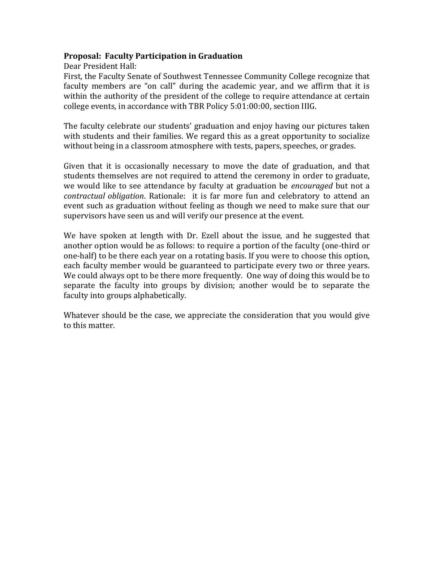#### **Proposal: Faculty Participation in Graduation**

Dear President Hall:

First, the Faculty Senate of Southwest Tennessee Community College recognize that faculty members are "on call" during the academic year, and we affirm that it is within the authority of the president of the college to require attendance at certain college events, in accordance with TBR Policy 5:01:00:00, section IIIG.

The faculty celebrate our students' graduation and enjoy having our pictures taken with students and their families. We regard this as a great opportunity to socialize without being in a classroom atmosphere with tests, papers, speeches, or grades.

Given that it is occasionally necessary to move the date of graduation, and that students themselves are not required to attend the ceremony in order to graduate, we would like to see attendance by faculty at graduation be *encouraged* but not a *contractual obligation*. Rationale: it is far more fun and celebratory to attend an event such as graduation without feeling as though we need to make sure that our supervisors have seen us and will verify our presence at the event.

We have spoken at length with Dr. Ezell about the issue, and he suggested that another option would be as follows: to require a portion of the faculty (one-third or one-half) to be there each year on a rotating basis. If you were to choose this option, each faculty member would be guaranteed to participate every two or three years. We could always opt to be there more frequently. One way of doing this would be to separate the faculty into groups by division; another would be to separate the faculty into groups alphabetically.

Whatever should be the case, we appreciate the consideration that you would give to this matter.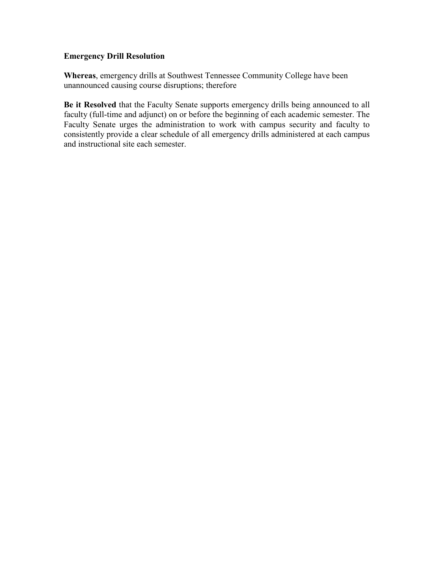#### **Emergency Drill Resolution**

**Whereas**, emergency drills at Southwest Tennessee Community College have been unannounced causing course disruptions; therefore

**Be it Resolved** that the Faculty Senate supports emergency drills being announced to all faculty (full-time and adjunct) on or before the beginning of each academic semester. The Faculty Senate urges the administration to work with campus security and faculty to consistently provide a clear schedule of all emergency drills administered at each campus and instructional site each semester.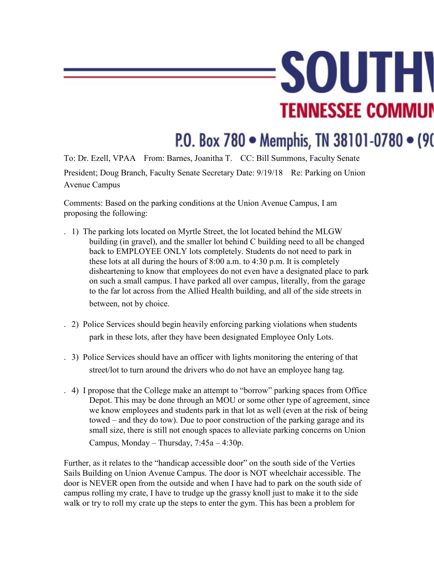# **SOUTH TENNESSEE COMMUN**

## P.O. Box 780 · Memphis, TN 38101-0780 · (90

To: Dr. Ezell, VPAA From: Barnes, Joanitha T. CC: Bill Summons, Faculty Senate President; Doug Branch, Faculty Senate Secretary Date: 9/19/18 Re: Parking on Union Avenue Campus

Comments: Based on the parking conditions at the Union Avenue Campus, I am proposing the following:

- . 1) The parking lots located on Myrtle Street, the lot located behind the MLGW building (in gravel), and the smaller lot behind C building need to all be changed back to EMPLOYEE ONLY lots completely. Students do not need to park in these lots at all during the hours of 8:00 a.m. to 4:30 p.m. It is completely disheartening to know that employees do not even have a designated place to park on such a small campus. I have parked all over campus, literally, from the garage to the far lot across from the Allied Health building, and all of the side streets in between, not by choice.
- . 2) Police Services should begin heavily enforcing parking violations when students park in these lots, after they have been designated Employee Only Lots.
- . 3) Police Services should have an officer with lights monitoring the entering of that street/lot to turn around the drivers who do not have an employee hang tag.
- . 4) I propose that the College make an attempt to "borrow" parking spaces from Office Depot. This may be done through an MOU or some other type of agreement, since we know employees and students park in that lot as well (even at the risk of being towed – and they do tow). Due to poor construction of the parking garage and its small size, there is still not enough spaces to alleviate parking concerns on Union Campus, Monday – Thursday, 7:45a – 4:30p.

Further, as it relates to the "handicap accessible door" on the south side of the Verties Sails Building on Union Avenue Campus. The door is NOT wheelchair accessible. The door is NEVER open from the outside and when I have had to park on the south side of campus rolling my crate, I have to trudge up the grassy knoll just to make it to the side walk or try to roll my crate up the steps to enter the gym. This has been a problem for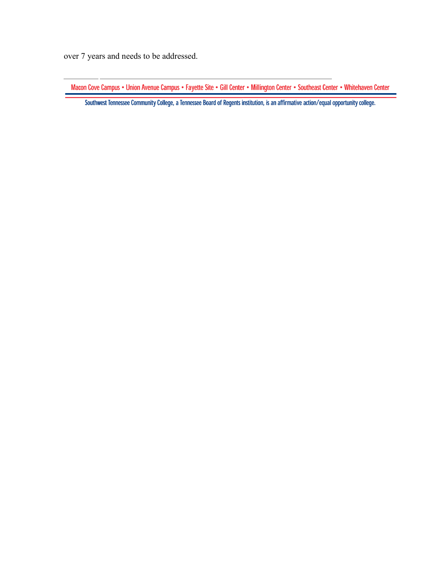over 7 years and needs to be addressed.

Macon Cove Campus • Union Avenue Campus • Fayette Site • Gill Center • Millington Center • Southeast Center • Whitehaven Center

Southwest Tennessee Community College, a Tennessee Board of Regents institution, is an affirmative action/equal opportunity college.